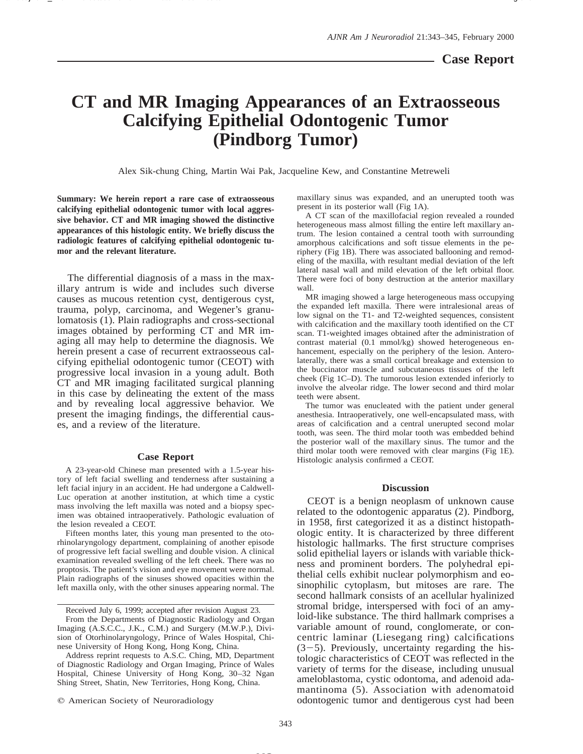## **CT and MR Imaging Appearances of an Extraosseous Calcifying Epithelial Odontogenic Tumor (Pindborg Tumor)**

Alex Sik-chung Ching, Martin Wai Pak, Jacqueline Kew, and Constantine Metreweli

**Summary: We herein report a rare case of extraosseous calcifying epithelial odontogenic tumor with local aggressive behavior. CT and MR imaging showed the distinctive appearances of this histologic entity. We briefly discuss the radiologic features of calcifying epithelial odontogenic tumor and the relevant literature.**

The differential diagnosis of a mass in the maxillary antrum is wide and includes such diverse causes as mucous retention cyst, dentigerous cyst, trauma, polyp, carcinoma, and Wegener's granulomatosis (1). Plain radiographs and cross-sectional images obtained by performing CT and MR imaging all may help to determine the diagnosis. We herein present a case of recurrent extraosseous calcifying epithelial odontogenic tumor (CEOT) with progressive local invasion in a young adult. Both CT and MR imaging facilitated surgical planning in this case by delineating the extent of the mass and by revealing local aggressive behavior. We present the imaging findings, the differential causes, and a review of the literature.

## **Case Report**

A 23-year-old Chinese man presented with a 1.5-year history of left facial swelling and tenderness after sustaining a left facial injury in an accident. He had undergone a Caldwell-Luc operation at another institution, at which time a cystic mass involving the left maxilla was noted and a biopsy specimen was obtained intraoperatively. Pathologic evaluation of the lesion revealed a CEOT.

Fifteen months later, this young man presented to the otorhinolaryngology department, complaining of another episode of progressive left facial swelling and double vision. A clinical examination revealed swelling of the left cheek. There was no proptosis. The patient's vision and eye movement were normal. Plain radiographs of the sinuses showed opacities within the left maxilla only, with the other sinuses appearing normal. The

 $Q$  American Society of Neuroradiology

maxillary sinus was expanded, and an unerupted tooth was present in its posterior wall (Fig 1A).

A CT scan of the maxillofacial region revealed a rounded heterogeneous mass almost filling the entire left maxillary antrum. The lesion contained a central tooth with surrounding amorphous calcifications and soft tissue elements in the periphery (Fig 1B). There was associated ballooning and remodeling of the maxilla, with resultant medial deviation of the left lateral nasal wall and mild elevation of the left orbital floor. There were foci of bony destruction at the anterior maxillary wall.

MR imaging showed a large heterogeneous mass occupying the expanded left maxilla. There were intralesional areas of low signal on the T1- and T2-weighted sequences, consistent with calcification and the maxillary tooth identified on the CT scan. T1-weighted images obtained after the administration of contrast material (0.1 mmol/kg) showed heterogeneous enhancement, especially on the periphery of the lesion. Anterolaterally, there was a small cortical breakage and extension to the buccinator muscle and subcutaneous tissues of the left cheek (Fig 1C–D). The tumorous lesion extended inferiorly to involve the alveolar ridge. The lower second and third molar teeth were absent.

The tumor was enucleated with the patient under general anesthesia. Intraoperatively, one well-encapsulated mass, with areas of calcification and a central unerupted second molar tooth, was seen. The third molar tooth was embedded behind the posterior wall of the maxillary sinus. The tumor and the third molar tooth were removed with clear margins (Fig 1E). Histologic analysis confirmed a CEOT.

## **Discussion**

CEOT is a benign neoplasm of unknown cause related to the odontogenic apparatus (2). Pindborg, in 1958, first categorized it as a distinct histopathologic entity. It is characterized by three different histologic hallmarks. The first structure comprises solid epithelial layers or islands with variable thickness and prominent borders. The polyhedral epithelial cells exhibit nuclear polymorphism and eosinophilic cytoplasm, but mitoses are rare. The second hallmark consists of an acellular hyalinized stromal bridge, interspersed with foci of an amyloid-like substance. The third hallmark comprises a variable amount of round, conglomerate, or concentric laminar (Liesegang ring) calcifications  $(3-5)$ . Previously, uncertainty regarding the histologic characteristics of CEOT was reflected in the variety of terms for the disease, including unusual ameloblastoma, cystic odontoma, and adenoid adamantinoma (5). Association with adenomatoid odontogenic tumor and dentigerous cyst had been

Received July 6, 1999; accepted after revision August 23.

From the Departments of Diagnostic Radiology and Organ Imaging (A.S.C.C., J.K., C.M.) and Surgery (M.W.P.), Division of Otorhinolaryngology, Prince of Wales Hospital, Chinese University of Hong Kong, Hong Kong, China.

Address reprint requests to A.S.C. Ching, MD, Department of Diagnostic Radiology and Organ Imaging, Prince of Wales Hospital, Chinese University of Hong Kong, 30–32 Ngan Shing Street, Shatin, New Territories, Hong Kong, China.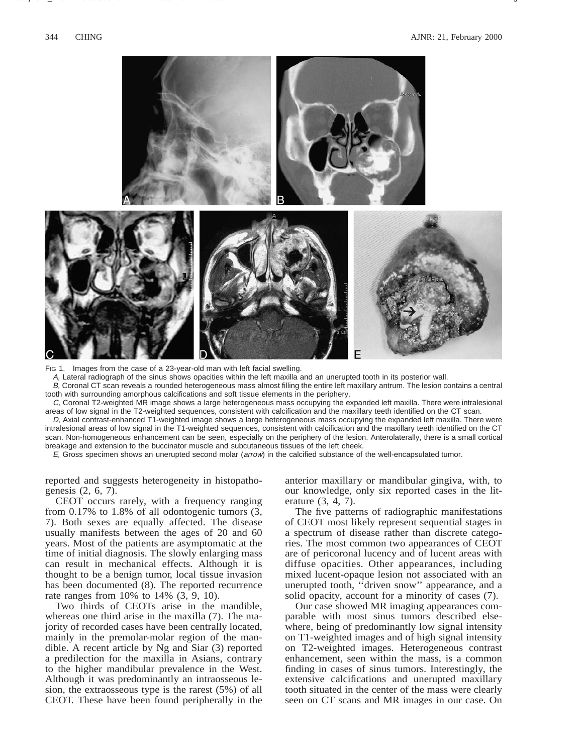

Fig 1. Images from the case of a 23-year-old man with left facial swelling.

A, Lateral radiograph of the sinus shows opacities within the left maxilla and an unerupted tooth in its posterior wall.

B, Coronal CT scan reveals a rounded heterogeneous mass almost filling the entire left maxillary antrum. The lesion contains a central tooth with surrounding amorphous calcifications and soft tissue elements in the periphery.

C, Coronal T2-weighted MR image shows a large heterogeneous mass occupying the expanded left maxilla. There were intralesional areas of low signal in the T2-weighted sequences, consistent with calcification and the maxillary teeth identified on the CT scan.

D, Axial contrast-enhanced T1-weighted image shows a large heterogeneous mass occupying the expanded left maxilla. There were intralesional areas of low signal in the T1-weighted sequences, consistent with calcification and the maxillary teeth identified on the CT scan. Non-homogeneous enhancement can be seen, especially on the periphery of the lesion. Anterolaterally, there is a small cortical breakage and extension to the buccinator muscle and subcutaneous tissues of the left cheek.

E, Gross specimen shows an unerupted second molar (arrow) in the calcified substance of the well-encapsulated tumor.

reported and suggests heterogeneity in histopathogenesis (2, 6, 7).

CEOT occurs rarely, with a frequency ranging from 0.17% to 1.8% of all odontogenic tumors (3, 7). Both sexes are equally affected. The disease usually manifests between the ages of 20 and 60 years. Most of the patients are asymptomatic at the time of initial diagnosis. The slowly enlarging mass can result in mechanical effects. Although it is thought to be a benign tumor, local tissue invasion has been documented (8). The reported recurrence rate ranges from 10% to 14% (3, 9, 10).

Two thirds of CEOTs arise in the mandible, whereas one third arise in the maxilla (7). The majority of recorded cases have been centrally located, mainly in the premolar-molar region of the mandible. A recent article by Ng and Siar (3) reported a predilection for the maxilla in Asians, contrary to the higher mandibular prevalence in the West. Although it was predominantly an intraosseous lesion, the extraosseous type is the rarest (5%) of all CEOT. These have been found peripherally in the

anterior maxillary or mandibular gingiva, with, to our knowledge, only six reported cases in the literature (3, 4, 7).

The five patterns of radiographic manifestations of CEOT most likely represent sequential stages in a spectrum of disease rather than discrete categories. The most common two appearances of CEOT are of pericoronal lucency and of lucent areas with diffuse opacities. Other appearances, including mixed lucent-opaque lesion not associated with an unerupted tooth, ''driven snow'' appearance, and a solid opacity, account for a minority of cases (7).

Our case showed MR imaging appearances comparable with most sinus tumors described elsewhere, being of predominantly low signal intensity on T1-weighted images and of high signal intensity on T2-weighted images. Heterogeneous contrast enhancement, seen within the mass, is a common finding in cases of sinus tumors. Interestingly, the extensive calcifications and unerupted maxillary tooth situated in the center of the mass were clearly seen on CT scans and MR images in our case. On